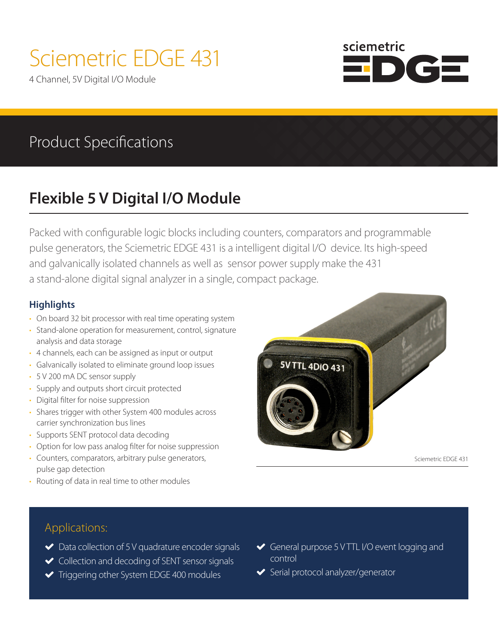# Sciemetric EDGE 431

4 Channel, 5V Digital I/O Module



## Product Specifications

# **Flexible 5 V Digital I/O Module**

Packed with configurable logic blocks including counters, comparators and programmable pulse generators, the Sciemetric EDGE 431 is a intelligent digital I/O device. Its high-speed and galvanically isolated channels as well as sensor power supply make the 431 a stand-alone digital signal analyzer in a single, compact package.

### **Highlights**

- On board 32 bit processor with real time operating system
- Stand-alone operation for measurement, control, signature analysis and data storage
- 4 channels, each can be assigned as input or output
- Galvanically isolated to eliminate ground loop issues
- 5 V 200 mA DC sensor supply
- Supply and outputs short circuit protected
- Digital filter for noise suppression
- Shares trigger with other System 400 modules across carrier synchronization bus lines
- Supports SENT protocol data decoding
- Option for low pass analog filter for noise suppression
- Counters, comparators, arbitrary pulse generators, pulse gap detection
- Routing of data in real time to other modules



Sciemetric EDGE 431

### Applications:

- ◆ Data collection of 5 V quadrature encoder signals
- ◆ Collection and decoding of SENT sensor signals
- $\blacktriangleright$  Triggering other System EDGE 400 modules
- General purpose 5 V TTL I/O event logging and control
- ◆ Serial protocol analyzer/generator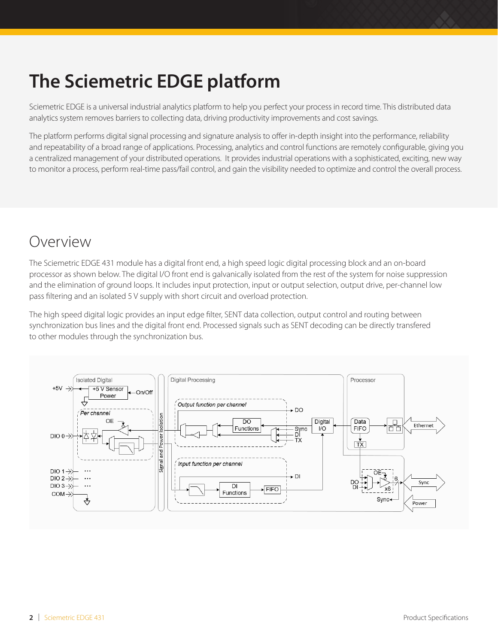# **The Sciemetric EDGE platform**

Sciemetric EDGE is a universal industrial analytics platform to help you perfect your process in record time. This distributed data analytics system removes barriers to collecting data, driving productivity improvements and cost savings.

The platform performs digital signal processing and signature analysis to offer in-depth insight into the performance, reliability and repeatability of a broad range of applications. Processing, analytics and control functions are remotely configurable, giving you a centralized management of your distributed operations. It provides industrial operations with a sophisticated, exciting, new way to monitor a process, perform real-time pass/fail control, and gain the visibility needed to optimize and control the overall process.

### Overview

The Sciemetric EDGE 431 module has a digital front end, a high speed logic digital processing block and an on-board processor as shown below. The digital I/O front end is galvanically isolated from the rest of the system for noise suppression and the elimination of ground loops. It includes input protection, input or output selection, output drive, per-channel low pass filtering and an isolated 5 V supply with short circuit and overload protection.

The high speed digital logic provides an input edge filter, SENT data collection, output control and routing between synchronization bus lines and the digital front end. Processed signals such as SENT decoding can be directly transfered to other modules through the synchronization bus.

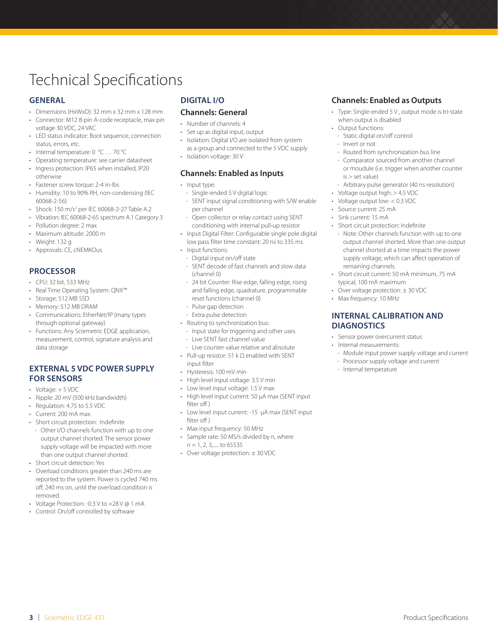### Technical Specifications

#### **GENERAL**

- Dimensions (HxWxD): 32 mm x 32 mm x 128 mm
- Connector: M12 8-pin A-code receptacle, max pin voltage 30 VDC, 24 VAC
- LED status indicator: Boot sequence, connection status, errors, etc.
- Internal temperature: 0 °C … 70 °C
- Operating temperature: see carrier datasheet
- Ingress protection: IP65 when installed, IP20 otherwise
- Fastener screw torque: 2-4 in-lbs
- Humidity: 10 to 90% RH, non-condensing (IEC 60068-2-56)
- Shock: 150 m/s<sup>2</sup> per IEC 60068-2-27 Table A.2
- Vibration: IEC 60068-2-65 spectrum A.1 Category 3
- Pollution degree: 2 max
- Maximum altitude: 2000 m
- Weight: 132 g
- Approvals: CE, cNEMKOus

#### **PROCESSOR**

- CPU: 32 bit, 533 MHz
- Real Time Operating System: QNX™
- Storage: 512 MB SSD
- Memory: 512 MB DRAM
- Communications: EtherNet/IP (many types through optional gateway)
- Functions: Any Sciemetric EDGE application, measurement, control, signature analysis and data storage

#### **EXTERNAL 5 VDC POWER SUPPLY FOR SENSORS**

- Voltage: + 5 VDC
- Ripple: 20 mV (500 kHz bandwidth)
- Regulation: 4.75 to 5.5 VDC
- Current: 200 mA max
- Short circuit protection: Indefinite
	- Other I/O channels function with up to one output channel shorted. The sensor power supply voltage will be impacted with more than one output channel shorted.
- Short circuit detection: Yes
- Overload conditions greater than 240 ms are reported to the system. Power is cycled 740 ms off, 240 ms on, until the overload condition is removed.
- Voltage Protection: -0.3 V to +28 V @ 1 mA
- Control: On/off controlled by software

#### **DIGITAL I/O**

#### **Channels: General**

- Number of channels: 4
- Set up as digital input, output
- Isolation: Digital I/O are isolated from system as a group and connected to the 5 VDC supply
- Isolation voltage: 30 V

#### **Channels: Enabled as Inputs**

#### • Input type:

- Single-ended 5 V digital logic
- SENT input signal conditioning with S/W enable per channel
- Open collector or relay contact using SENT conditioning with internal pull-up resistor
- Input Digital Filter: Configurable single pole digital low pass filter time constant: 20 ns to 335 ms
- Input functions:
- Digital input on/off state
- SENT decode of fast channels and slow data (channel 0)
- 24 bit Counter: Rise edge, falling edge, rising and falling edge, quadrature, programmable reset functions (channel 0)
- Pulse gap detection
- Extra pulse detection
- Routing to synchronization bus:
- Input state for triggering and other uses
- Live SENT fast channel value
- Live counter value relative and absolute • Pull-up resistor: 51 k Ω enabled with SENT input filter
- Hysteresis: 100 mV min
- High level input voltage: 3.5 V min
- Low level input voltage: 1.5 V max
- High level input current: 50 µA max (SENT input filter off)
- Low level input current: -15 µA max (SENT input filter off )
- Max input frequency: 50 MHz
- Sample rate: 50 MS/s divided by n, where  $n = 1, 2, 3, \ldots$  to 65535
- Over voltage protection: ± 30 VDC

#### **Channels: Enabled as Outputs**

- Type: Single-ended 5 V , output mode is tri-state when output is disabled
- Output functions:
- Static digital on/off control
- Invert or not
- Routed from synchronization bus line
- Comparator sourced from another channel or moudule (i.e. trigger when another counter is > set value)
- Arbitrary pulse generator (40 ns resolution)
- Voltage output high: > 4.5 VDC
- Voltage output low: < 0.3 VDC
- Source current: 25 mA
- Sink current: 15 mA
- Short circuit protection: Indefinite
- Note: Other channels function with up to one output channel shorted. More than one output channel shorted at a time impacts the power supply voltage, which can affect operation of remaining channels.
- Short circuit current: 50 mA minimum, 75 mA typical, 100 mA maximum
- Over voltage protection: ± 30 VDC
- Max frequency: 10 MHz

#### **INTERNAL CALIBRATION AND DIAGNOSTICS**

- Sensor power overcurrent status
- Internal measurements:
	- Module input power supply voltage and current
	- Processor supply voltage and current
	- Internal temperature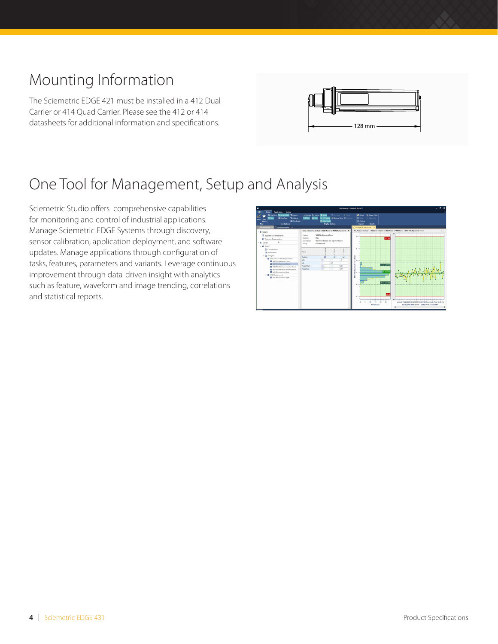## Mounting Information

The Sciemetric EDGE 421 must be installed in a 412 Dual Carrier or 414 Quad Carrier. Please see the 412 or 414 datasheets for additional information and specifications.



# One Tool for Management, Setup and Analysis

Sciemetric Studio offers comprehensive capabilities for monitoring and control of industrial applications. Manage Sciemetric EDGE Systems through discovery, sensor calibration, application deployment, and software updates. Manage applications through configuration of tasks, features, parameters and variants. Leverage continuous A improvement through data-driven insight with analytics such as feature, waveform and image trending, correlations and statistical reports. Sheet Template: Basic Digital<br>Template: Basic Digital<br>Digital